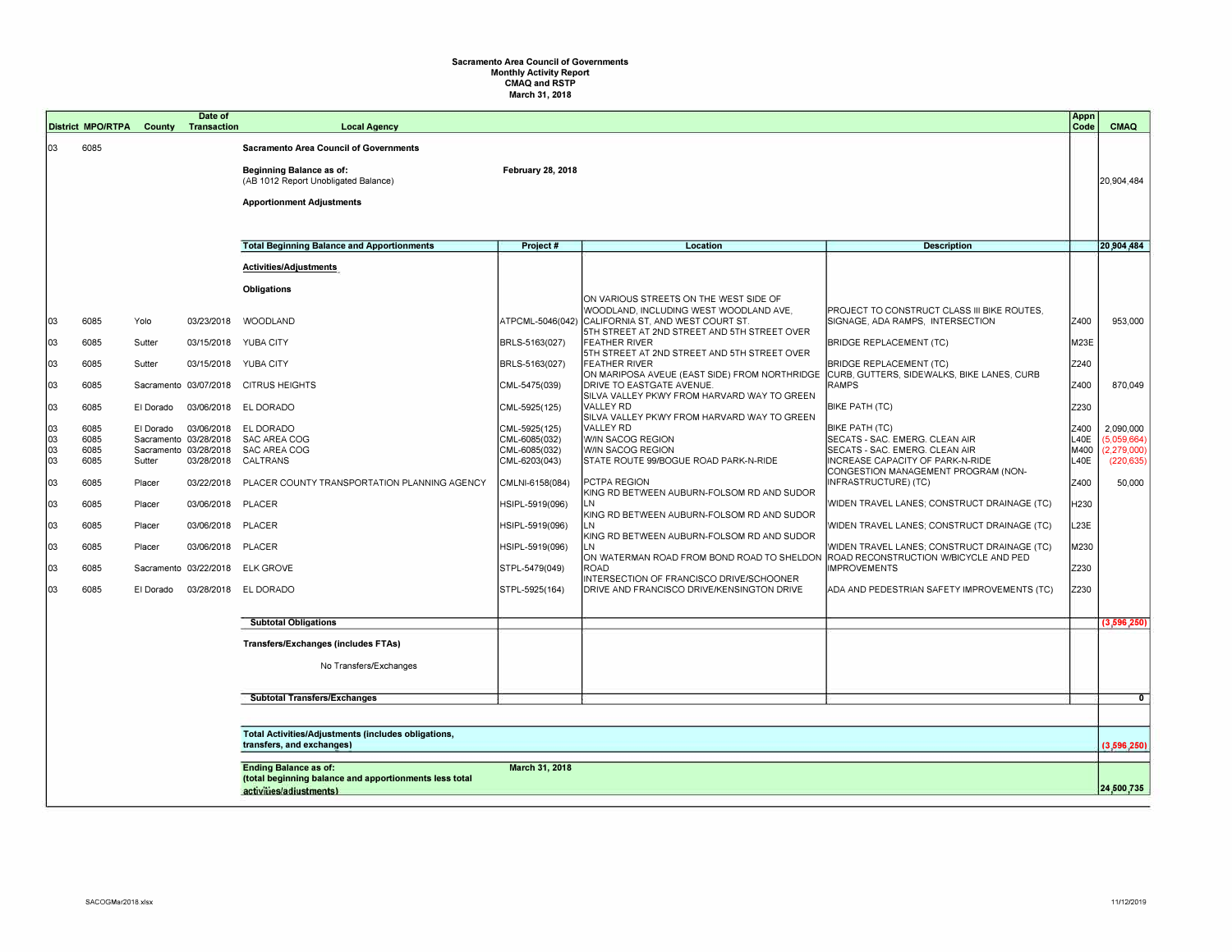## **Sacramento Area Council of Governments Monthly Activity Report CMAQ and RSTP March 31, 2018**

|    |                                                                                  |           | Date of               |                                                         |                          |                                                                                        |                                                                                 | Appn |               |
|----|----------------------------------------------------------------------------------|-----------|-----------------------|---------------------------------------------------------|--------------------------|----------------------------------------------------------------------------------------|---------------------------------------------------------------------------------|------|---------------|
|    | <b>District MPO/RTPA</b>                                                         | County    | Transaction           | <b>Local Agency</b>                                     |                          |                                                                                        |                                                                                 | Code | <b>CMAQ</b>   |
| 03 | 6085                                                                             |           |                       | <b>Sacramento Area Council of Governments</b>           |                          |                                                                                        |                                                                                 |      |               |
|    |                                                                                  |           |                       | <b>Beginning Balance as of:</b>                         | <b>February 28, 2018</b> |                                                                                        |                                                                                 |      |               |
|    |                                                                                  |           |                       | (AB 1012 Report Unobligated Balance)                    |                          |                                                                                        |                                                                                 |      | 20,904,484    |
|    |                                                                                  |           |                       | <b>Apportionment Adjustments</b>                        |                          |                                                                                        |                                                                                 |      |               |
|    |                                                                                  |           |                       |                                                         |                          |                                                                                        |                                                                                 |      |               |
|    |                                                                                  |           |                       |                                                         |                          |                                                                                        |                                                                                 |      |               |
|    |                                                                                  |           |                       | <b>Total Beginning Balance and Apportionments</b>       | Project #                | Location                                                                               | <b>Description</b>                                                              |      | 20,904,484    |
|    |                                                                                  |           |                       | Activities/Adjustments                                  |                          |                                                                                        |                                                                                 |      |               |
|    |                                                                                  |           |                       | <b>Obligations</b>                                      |                          |                                                                                        |                                                                                 |      |               |
|    |                                                                                  |           |                       |                                                         |                          | ON VARIOUS STREETS ON THE WEST SIDE OF                                                 |                                                                                 |      |               |
| 03 | 6085                                                                             | Yolo      | 03/23/2018            | WOODLAND                                                | ATPCML-5046(042)         | WOODLAND, INCLUDING WEST WOODLAND AVE,<br>CALIFORNIA ST, AND WEST COURT ST.            | PROJECT TO CONSTRUCT CLASS III BIKE ROUTES.<br>SIGNAGE, ADA RAMPS, INTERSECTION | Z400 | 953,000       |
|    |                                                                                  |           |                       |                                                         |                          | 5TH STREET AT 2ND STREET AND 5TH STREET OVER                                           |                                                                                 |      |               |
| 03 | 6085                                                                             | Sutter    |                       | 03/15/2018 YUBA CITY                                    | BRLS-5163(027)           | <b>FEATHER RIVER</b><br>5TH STREET AT 2ND STREET AND 5TH STREET OVER                   | <b>BRIDGE REPLACEMENT (TC)</b>                                                  | M23E |               |
| 03 | 6085                                                                             | Sutter    |                       | 03/15/2018 YUBA CITY                                    | BRLS-5163(027)           | <b>FEATHER RIVER</b>                                                                   | <b>BRIDGE REPLACEMENT (TC)</b>                                                  | Z240 |               |
|    |                                                                                  |           |                       |                                                         |                          | ON MARIPOSA AVEUE (EAST SIDE) FROM NORTHRIDGE                                          | CURB, GUTTERS, SIDEWALKS, BIKE LANES, CURB                                      |      |               |
| 03 | 6085                                                                             |           |                       | Sacramento 03/07/2018 CITRUS HEIGHTS                    | CML-5475(039)            | DRIVE TO EASTGATE AVENUE.<br>SILVA VALLEY PKWY FROM HARVARD WAY TO GREEN               | <b>RAMPS</b>                                                                    | Z400 | 870,049       |
| 03 | 6085                                                                             | El Dorado | 03/06/2018            | EL DORADO                                               | CML-5925(125)            | <b>VALLEY RD</b>                                                                       | <b>BIKE PATH (TC)</b>                                                           | Z230 |               |
| 03 | 6085                                                                             | El Dorado |                       | 03/06/2018 EL DORADO                                    | CML-5925(125)            | SILVA VALLEY PKWY FROM HARVARD WAY TO GREEN<br><b>VALLEY RD</b>                        | BIKE PATH (TC)                                                                  | Z400 | 2,090,000     |
| 03 | 6085                                                                             |           | Sacramento 03/28/2018 | SAC AREA COG                                            | CML-6085(032)            | W/IN SACOG REGION                                                                      | SECATS - SAC. EMERG. CLEAN AIR                                                  | L40E | (5.059.664    |
| 03 | 6085                                                                             |           |                       | Sacramento 03/28/2018 SAC AREA COG                      | CML-6085(032)            | W/IN SACOG REGION                                                                      | SECATS - SAC. EMERG. CLEAN AIR                                                  | M400 | (2, 279, 000) |
| 03 | 6085                                                                             | Sutter    |                       | 03/28/2018 CALTRANS                                     | CML-6203(043)            | STATE ROUTE 99/BOGUE ROAD PARK-N-RIDE                                                  | INCREASE CAPACITY OF PARK-N-RIDE                                                | L40E | (220, 635)    |
| 03 | 6085                                                                             | Placer    |                       | 03/22/2018 PLACER COUNTY TRANSPORTATION PLANNING AGENCY | CMLNI-6158(084)          | PCTPA REGION                                                                           | CONGESTION MANAGEMENT PROGRAM (NON-<br>INFRASTRUCTURE) (TC)                     | Z400 | 50,000        |
|    |                                                                                  |           |                       |                                                         |                          | KING RD BETWEEN AUBURN-FOLSOM RD AND SUDOR                                             |                                                                                 |      |               |
| 03 | 6085                                                                             | Placer    | 03/06/2018 PLACER     |                                                         | HSIPL-5919(096)          | LN<br>KING RD BETWEEN AUBURN-FOLSOM RD AND SUDOR                                       | WIDEN TRAVEL LANES; CONSTRUCT DRAINAGE (TC)                                     | H230 |               |
| 03 | 6085                                                                             | Placer    | 03/06/2018 PLACER     |                                                         | HSIPL-5919(096)          | LN                                                                                     | WIDEN TRAVEL LANES; CONSTRUCT DRAINAGE (TC)                                     | L23E |               |
| 03 | 6085                                                                             | Placer    | 03/06/2018 PLACER     |                                                         | HSIPL-5919(096)          | KING RD BETWEEN AUBURN-FOLSOM RD AND SUDOR<br>LN.                                      | WIDEN TRAVEL LANES; CONSTRUCT DRAINAGE (TC)                                     | M230 |               |
|    |                                                                                  |           |                       |                                                         |                          | ON WATERMAN ROAD FROM BOND ROAD TO SHELDOI                                             | ROAD RECONSTRUCTION W/BICYCLE AND PED                                           |      |               |
| 03 | 6085                                                                             |           |                       | Sacramento 03/22/2018 ELK GROVE                         | STPL-5479(049)           | <b>ROAD</b>                                                                            | <b>IMPROVEMENTS</b>                                                             | Z230 |               |
| 03 | 6085                                                                             | El Dorado |                       | 03/28/2018 EL DORADO                                    | STPL-5925(164)           | INTERSECTION OF FRANCISCO DRIVE/SCHOONER<br>DRIVE AND FRANCISCO DRIVE/KENSINGTON DRIVE | ADA AND PEDESTRIAN SAFETY IMPROVEMENTS (TC)                                     | Z230 |               |
|    |                                                                                  |           |                       |                                                         |                          |                                                                                        |                                                                                 |      |               |
|    |                                                                                  |           |                       | <b>Subtotal Obligations</b>                             |                          |                                                                                        |                                                                                 |      | (3, 596, 250) |
|    |                                                                                  |           |                       |                                                         |                          |                                                                                        |                                                                                 |      |               |
|    |                                                                                  |           |                       | <b>Transfers/Exchanges (includes FTAs)</b>              |                          |                                                                                        |                                                                                 |      |               |
|    |                                                                                  |           |                       | No Transfers/Exchanges                                  |                          |                                                                                        |                                                                                 |      |               |
|    |                                                                                  |           |                       |                                                         |                          |                                                                                        |                                                                                 |      |               |
|    |                                                                                  |           |                       | <b>Subtotal Transfers/Exchanges</b>                     |                          |                                                                                        |                                                                                 |      | $\mathbf{0}$  |
|    |                                                                                  |           |                       |                                                         |                          |                                                                                        |                                                                                 |      |               |
|    |                                                                                  |           |                       |                                                         |                          |                                                                                        |                                                                                 |      |               |
|    | Total Activities/Adjustments (includes obligations,<br>transfers, and exchanges) |           |                       |                                                         |                          |                                                                                        |                                                                                 |      | (3, 596, 250) |
|    |                                                                                  |           |                       | <b>Ending Balance as of:</b>                            | March 31, 2018           |                                                                                        |                                                                                 |      |               |
|    |                                                                                  |           |                       | (total beginning balance and apportionments less total  |                          |                                                                                        |                                                                                 |      |               |
|    |                                                                                  |           |                       | activities/adiustments)                                 |                          |                                                                                        |                                                                                 |      | 24,500,735    |
|    |                                                                                  |           |                       |                                                         |                          |                                                                                        |                                                                                 |      |               |